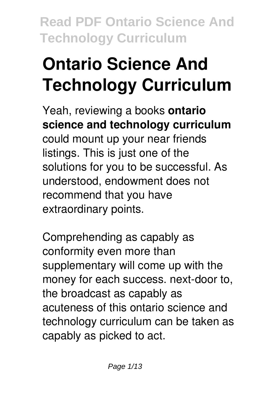# **Ontario Science And Technology Curriculum**

Yeah, reviewing a books **ontario science and technology curriculum** could mount up your near friends listings. This is just one of the solutions for you to be successful. As understood, endowment does not recommend that you have extraordinary points.

Comprehending as capably as conformity even more than supplementary will come up with the money for each success. next-door to, the broadcast as capably as acuteness of this ontario science and technology curriculum can be taken as capably as picked to act.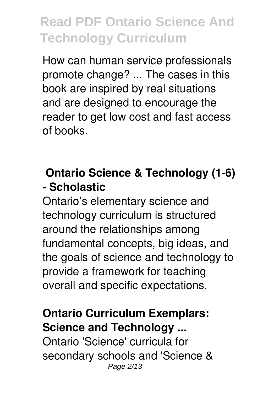How can human service professionals promote change? ... The cases in this book are inspired by real situations and are designed to encourage the reader to get low cost and fast access of books.

#### **Ontario Science & Technology (1-6) - Scholastic**

Ontario's elementary science and technology curriculum is structured around the relationships among fundamental concepts, big ideas, and the goals of science and technology to provide a framework for teaching overall and specific expectations.

#### **Ontario Curriculum Exemplars: Science and Technology ...**

Ontario 'Science' curricula for secondary schools and 'Science & Page 2/13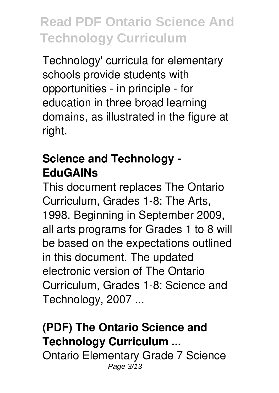Technology' curricula for elementary schools provide students with opportunities - in principle - for education in three broad learning domains, as illustrated in the figure at right.

### **Science and Technology - EduGAINs**

This document replaces The Ontario Curriculum, Grades 1-8: The Arts, 1998. Beginning in September 2009, all arts programs for Grades 1 to 8 will be based on the expectations outlined in this document. The updated electronic version of The Ontario Curriculum, Grades 1-8: Science and Technology, 2007 ...

### **(PDF) The Ontario Science and Technology Curriculum ...**

Ontario Elementary Grade 7 Science Page 3/13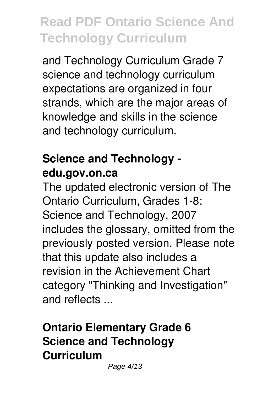and Technology Curriculum Grade 7 science and technology curriculum expectations are organized in four strands, which are the major areas of knowledge and skills in the science and technology curriculum.

### **Science and Technology edu.gov.on.ca**

The updated electronic version of The Ontario Curriculum, Grades 1-8: Science and Technology, 2007 includes the glossary, omitted from the previously posted version. Please note that this update also includes a revision in the Achievement Chart category "Thinking and Investigation" and reflects ...

### **Ontario Elementary Grade 6 Science and Technology Curriculum**

Page 4/13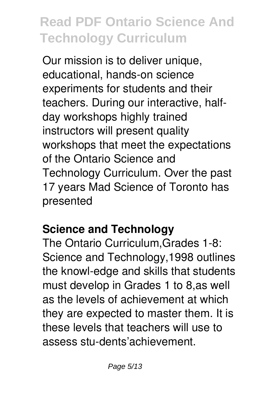Our mission is to deliver unique, educational, hands-on science experiments for students and their teachers. During our interactive, halfday workshops highly trained instructors will present quality workshops that meet the expectations of the Ontario Science and Technology Curriculum. Over the past 17 years Mad Science of Toronto has presented

### **Science and Technology**

The Ontario Curriculum,Grades 1-8: Science and Technology,1998 outlines the knowl-edge and skills that students must develop in Grades 1 to 8,as well as the levels of achievement at which they are expected to master them. It is these levels that teachers will use to assess stu-dents'achievement.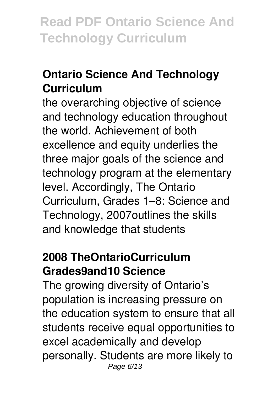### **Ontario Science And Technology Curriculum**

the overarching objective of science and technology education throughout the world. Achievement of both excellence and equity underlies the three major goals of the science and technology program at the elementary level. Accordingly, The Ontario Curriculum, Grades 1–8: Science and Technology, 2007outlines the skills and knowledge that students

#### **2008 TheOntarioCurriculum Grades9and10 Science**

The growing diversity of Ontario's population is increasing pressure on the education system to ensure that all students receive equal opportunities to excel academically and develop personally. Students are more likely to Page 6/13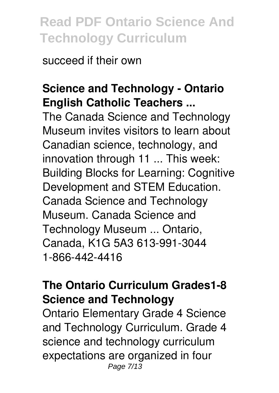succeed if their own

#### **Science and Technology - Ontario English Catholic Teachers ...**

The Canada Science and Technology Museum invites visitors to learn about Canadian science, technology, and innovation through 11 ... This week: Building Blocks for Learning: Cognitive Development and STEM Education. Canada Science and Technology Museum. Canada Science and Technology Museum ... Ontario, Canada, K1G 5A3 613-991-3044 1-866-442-4416

#### **The Ontario Curriculum Grades1-8 Science and Technology**

Ontario Elementary Grade 4 Science and Technology Curriculum. Grade 4 science and technology curriculum expectations are organized in four Page 7/13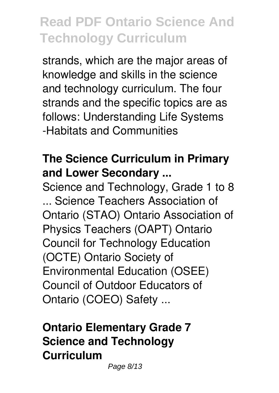strands, which are the major areas of knowledge and skills in the science and technology curriculum. The four strands and the specific topics are as follows: Understanding Life Systems -Habitats and Communities

#### **The Science Curriculum in Primary and Lower Secondary ...**

Science and Technology, Grade 1 to 8 ... Science Teachers Association of Ontario (STAO) Ontario Association of Physics Teachers (OAPT) Ontario Council for Technology Education (OCTE) Ontario Society of Environmental Education (OSEE) Council of Outdoor Educators of Ontario (COEO) Safety ...

### **Ontario Elementary Grade 7 Science and Technology Curriculum**

Page 8/13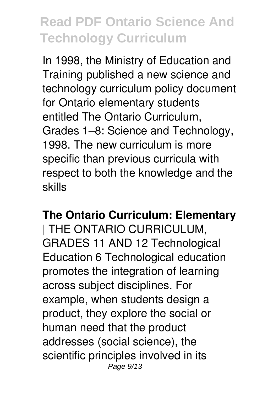In 1998, the Ministry of Education and Training published a new science and technology curriculum policy document for Ontario elementary students entitled The Ontario Curriculum, Grades 1–8: Science and Technology, 1998. The new curriculum is more specific than previous curricula with respect to both the knowledge and the skills

#### **The Ontario Curriculum: Elementary**

| THE ONTARIO CURRICULUM, GRADES 11 AND 12 Technological Education 6 Technological education promotes the integration of learning across subject disciplines. For example, when students design a product, they explore the social or human need that the product addresses (social science), the scientific principles involved in its Page 9/13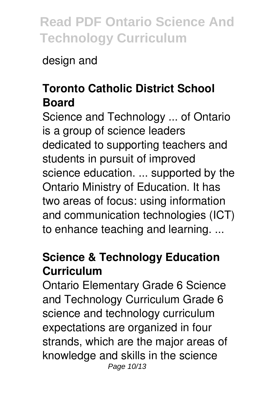design and

### **Toronto Catholic District School Board**

Science and Technology ... of Ontario is a group of science leaders dedicated to supporting teachers and students in pursuit of improved science education. ... supported by the Ontario Ministry of Education. It has two areas of focus: using information and communication technologies (ICT) to enhance teaching and learning. ...

### **Science & Technology Education Curriculum**

Ontario Elementary Grade 6 Science and Technology Curriculum Grade 6 science and technology curriculum expectations are organized in four strands, which are the major areas of knowledge and skills in the science Page 10/13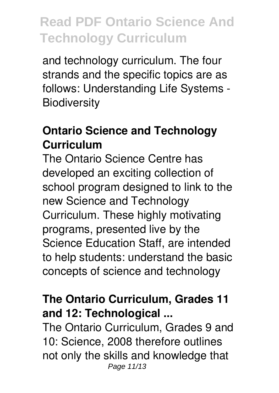and technology curriculum. The four strands and the specific topics are as follows: Understanding Life Systems - **Biodiversity** 

#### **Ontario Science and Technology Curriculum**

The Ontario Science Centre has developed an exciting collection of school program designed to link to the new Science and Technology Curriculum. These highly motivating programs, presented live by the Science Education Staff, are intended to help students: understand the basic concepts of science and technology

#### **The Ontario Curriculum, Grades 11 and 12: Technological ...**

The Ontario Curriculum, Grades 9 and 10: Science, 2008 therefore outlines not only the skills and knowledge that Page 11/13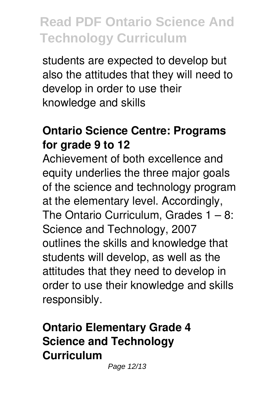students are expected to develop but also the attitudes that they will need to develop in order to use their knowledge and skills

#### **Ontario Science Centre: Programs for grade 9 to 12**

Achievement of both excellence and equity underlies the three major goals of the science and technology program at the elementary level. Accordingly, The Ontario Curriculum, Grades  $1 - 8$ : Science and Technology, 2007 outlines the skills and knowledge that students will develop, as well as the attitudes that they need to develop in order to use their knowledge and skills responsibly.

### **Ontario Elementary Grade 4 Science and Technology Curriculum**

Page 12/13